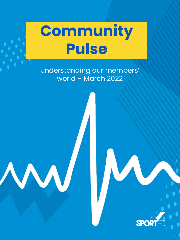Understanding our members' world – March 2022



# **Community Pulse**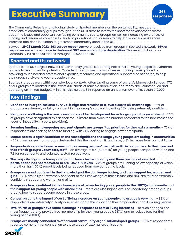The Community Pulse is a longitudinal study of Sported members on the sustainability, needs, and ambitions of community groups throughout the UK. It aims to inform the sport for development sector about the issues and opportunities facing community sports groups, as well as increasing awareness of funding and resources available for such organisations. It also seeks to help stakeholders make moreinformed decisions in relation to grassroots community sport in the UK.

Between **21-28 March 2022, 363 survey responses** were received from groups in Sported's network. **49% of responses were from groups in the lowest 30% areas of multiple deprivation**. This research builds on Community Pulse consultations throughout 2020 and 2021.

2

### **Key Findings**

- **Confidence in organisational survival is high and remains at a level close to six months ago** 92% of groups are extremely or fairly confident in their group's survival, including 66% being extremely confident.
- **Health and wellbeing is the most common sport for development focus for groups in the year ahead**  55% of groups have designated this as their focus (more than twice the number compared to the next most cited focus of inequality in sports provision).
- **Securing funding and engaging new participants are groups' top priorities for the next six months**  77% of respondents are seeking to secure funding, with 74% looking to engage new participants.
- **Mental health is again identified as the most significant challenge young people are facing in communities**  - 30% of responses from groups designated this the most significant issue, a 3% increase from our last Pulse.
- **Respondents reported lower scores for their young peoples' mental health in comparison to their own and that of their group's volunteers/staff** – an average of 6.5 (out of 10) for young people compared with 7.6 and 7.3 for respondents and volunteers/staff respectively.
- **The majority of groups have participation levels below capacity and there are indications that participation has not recovered to pre-Covid 19 levels** - 74% of groups are running below capacity, of which more than half (56%) report levels being reduced from pre-pandemic levels.
- **Groups are most confident in their knowledge of the challenges facing, and their support for, women and girls** – 80% are fairly or extremely confident of their knowledge of these issues and 84% are fairly or extremely confident in supporting women and girls.
- **Groups are least confident in their knowledge of issues facing young people in the LGBTQ+ community and their support for young people with disabilities** – there are also higher levels of uncertainty among groups around how to support young people in these areas.
- **Concern around the impact of cost of living increases on young people and groups is very high** 88% of respondents are extremely or fairly concerned about the impact on their organisation and its young people.
- **Two-thirds of groups have made a change in response to cost of living increases**  of such changes, the most frequent are to provide free membership for their young people (47%) and to reduce fees for their young people (36%).
- **Groups are mostly connected to other local community organisations/sport groups** 98% of respondents reported some form of connection to these types of external organisations.



### **Sported and its network**

Sported is the UK's largest network of community groups supporting half a million young people to overcome barriers to reach their full potential. Our role is to empower the local heroes running these groups by providing much needed professional expertise, resources and operational support, free of charge, to help their group survive and young people thrive.

Sported's groups work within complex local contexts, often tackling some of society's biggest challenges. 47% of our groups are located in the lowest 30% areas of multiple deprivation, and many are volunteer-led and operating on limited budgets – in this Pulse survey, 34% reported an annual turnover of less than £10,000.

### **Executive Summary**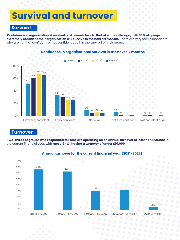## **Survival and turnover**

### **Survival**

**Confidence in organisational survival is at a level close to that of six months ago,** with **66% of groups extremely confident their organisation will survive in the next six months**. There are very few respondents who are not that confident, or not confident at all, in the survival of their group**.**



### **Turnover**

**Two-thirds of groups who responded to Pulse are operating on an annual turnover of less than £50,000** for the current financial year, with **most (34%) having a turnover of under £10,000**.



### **Annual turnover for the current financial year (2021-2022)**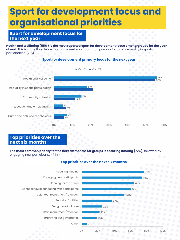**Health and wellbeing (55%) is the most reported sport for development focus among groups for the year ahead**. This is more than twice that of the next most common primary focus of inequality in sports participation (21%).



### **Top priorities over the next six months**

**The most common priority for the next six months for groups is securing funding (77%),** followed by engaging new participants (74%).

### **Sport for development focus for the next year**

### **Top priorities over the next six months**



### **Sport for development focus and organisational priorities**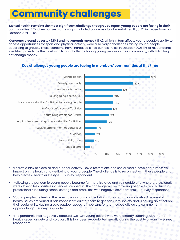### **Community challenges**

- 'Following the pandemic young people became far more isolated and vulnerable and where professionals were absent, less positive influences stepped in. The challenge will be for young people to rebuild trust in professionals including school settings and break ties with negative environments.' – survey respondent
- 'Young people are feeling the repercussions of social isolation more so than anyone else. The mental health issues are varied. It has made it difficult for them to get back into society and is having an effect on their social skills. Having a safe outdoor space is important for them especially as the summer is approaching.' – survey respondent
- 'The pandemic has negatively affected LGBTQI+ young people who were already suffering with mental health issues, anxiety and isolation. This has been exacerbated greatly during the past two years.' – survey respondent



### **Key challenges young people are facing in members' communities at this time**

**Mental health remains the most significant challenge that groups report young people are facing in their communities**. 30% of responses from groups included concerns about mental health, a 3% increase from our October 2021 Pulse.

**Concerns around poverty (22%) and not enough money (17%),** which in turn affects young people's ability to access opportunities for sport and physical activity, were also major challenges facing young people according to groups. These concerns have increased since our last Pulse. In October 2021, 11% of respondents identified poverty as the most significant challenge facing young people in their community, with 14% citing not enough money.



'There's a lack of exercise and outdoor activity. Covid restrictions and social media have had a massive impact on the health and wellbeing of young people. The challenge is to reconnect with these people and help create a healthier lifestyle.' - survey respondent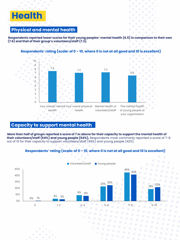### **Health**

### **Physical and mental health**

**Respondents reported lower scores for their young peoples' mental health (6.5) in comparison to their own (7.6) and that of their group's volunteers/staff (7.3).**

#### 7.6 7.2 7.3 6.5 0 1 2 3 4 5 6 7 8 9 10 Your overall mental Your overal physical Mental health of health health volunteers/staff The mental health of young people at your organisation

### **Capacity to support mental health**

**More than half of groups reported a score of 7 or above for their capacity to support the mental health of their volunteers/staff (64%) and young people (64%).** Respondents most commonly reported a score of 7-8 out of 10 for their capacity to support volunteers/staff (45%) and young people (42%).

### **Respondents' rating (scale: of 0 – 10, where 0 is not at all good and 10 is excellent)**

### **Respondents' rating (scale: of 0 – 10, where 0 is not at all good and 10 is excellent)**

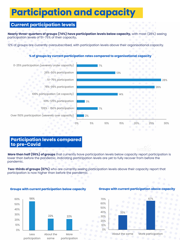### **Participation and capacity**

**Nearly three-quarters of groups (74%) have participation levels below capacity,** with most (28%) seeing participation levels of 51-75% of their capacity**.**

12% of groups are currently oversubscribed, with participation levels above their organisational capacity.

### **Current participation levels**

#### **% of groups by current participation rates compared to organisational capacity**

### **Participation levels compared to pre-Covid**



**More than half (56%) of groups** that currently have participation levels below capacity report participation is lower than before the pandemic, indicating participation levels are yet to fully recover from before the pandemic.

**Two-thirds of groups (67%)** who are currently seeing participation levels above their capacity report that participation is now higher than before the pandemic.



#### **Groups with current participation below capacity Groups with current participation above capacity**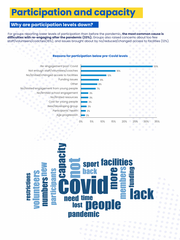### **Participation and capacity**

For groups reporting lower levels of participation than before the pandemic**, the most common cause is**  difficulties with re-engaging after the pandemic (33%). Groups also raised concerns about too few staff/volunteers/coaches(16%), and issues brought about by no/reduced/changed access to facilities (12%).

### **Why are participation levels down?**

#### **Reasons for participation below pre-Covid levels**



### Se aclass mbersne S **Darticipants back** t<br>E<br>E **publicats** restrictions ed time<br>lost **people need** pandemic

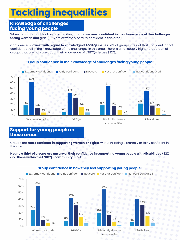### **Knowledge of challenges facing young people**

#### **Group confidence in their knowledge of challenges facing young people**

When thinking about tackling inequalities, groups are **most confident in their knowledge of the challenges facing women and girls** (80% are extremely or fairly confident in this area).

Confidence is **lowest with regard to knowledge of LGBTQ+ issues**: 21% of groups are not that confident, or not confident at all in their knowledge of the challenges in this area. There is a noticeably higher proportion of groups that are not sure about their knowledge of LGBTQ+ issues (32%).

#### **Group confidence in how they feel supporting young people**

**Extremely confident Fairly confident Not sure Not that confident Not confident at all** 



Groups are **most confident in supporting women and girls**, with 84% being extremely or fairly confident in this area.

**Nearly a third of groups are unsure of their confidence in supporting young people with disabilities** (32%) and **those within the LGBTQ+ community** (31%).

### **Support for young people in these areas**

### **Tackling inequalities**

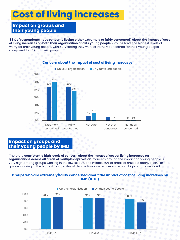## **Cost of living increases**

### **Impact on groups and their young people**

**88% of respondents have concerns (being either extremely or fairly concerned) about the impact of cost of living increases on both their organisation and its young people.** Groups have the highest levels of worry for their young people, with 50% stating they were extremely concerned for their young people, compared to 44% for their group.

#### **Concern about the impact of cost of living increases**



#### **Groups who are extremely/fairly concerned about the impact of cost of living increases by IMD (0-10)**

There are **consistently high levels of concern about the impact of cost of living increases on organisations across all areas of multiple deprivation**. Concern around the impact on young people is very high among groups working in the lowest 30% and middle 30% of areas of multiple deprivation. For groups working in the highest four deciles of deprivation, concern levels remain high but are reduced.

### **Impact on groups and their young people by IMD**

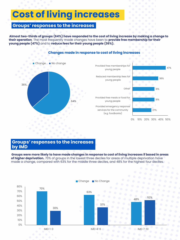## **Cost of living increases**

### **Groups' responses to the increases**

**Almost two-thirds of groups (64%) have responded to the cost of living increase by making a change to their operation**. The most frequently made changes have been to **provide free membership for their young people (47%)** and to **reduce fees for their young people (36%).** 

**Groups were more likely to have made changes in response to cost of living increases if based in areas of higher deprivation.** 70% of groups in the lowest three deciles for areas of multiple deprivation have made a change, compared with 63% for the middle three deciles, and 48% for the highest four deciles.



### **Groups' responses to the increases by IMD**